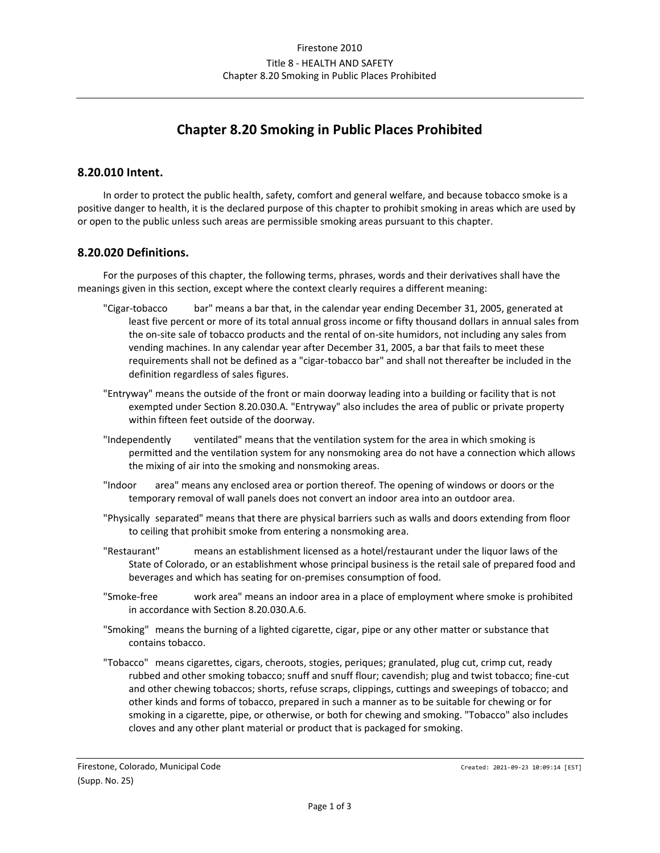# **Chapter 8.20 Smoking in Public Places Prohibited**

#### **8.20.010 Intent.**

In order to protect the public health, safety, comfort and general welfare, and because tobacco smoke is a positive danger to health, it is the declared purpose of this chapter to prohibit smoking in areas which are used by or open to the public unless such areas are permissible smoking areas pursuant to this chapter.

#### **8.20.020 Definitions.**

For the purposes of this chapter, the following terms, phrases, words and their derivatives shall have the meanings given in this section, except where the context clearly requires a different meaning:

- "Cigar-tobacco bar" means a bar that, in the calendar year ending December 31, 2005, generated at least five percent or more of its total annual gross income or fifty thousand dollars in annual sales from the on-site sale of tobacco products and the rental of on-site humidors, not including any sales from vending machines. In any calendar year after December 31, 2005, a bar that fails to meet these requirements shall not be defined as a "cigar-tobacco bar" and shall not thereafter be included in the definition regardless of sales figures.
- "Entryway" means the outside of the front or main doorway leading into a building or facility that is not exempted under Section 8.20.030.A. "Entryway" also includes the area of public or private property within fifteen feet outside of the doorway.
- "Independently ventilated" means that the ventilation system for the area in which smoking is permitted and the ventilation system for any nonsmoking area do not have a connection which allows the mixing of air into the smoking and nonsmoking areas.
- "Indoor area" means any enclosed area or portion thereof. The opening of windows or doors or the temporary removal of wall panels does not convert an indoor area into an outdoor area.
- "Physically separated" means that there are physical barriers such as walls and doors extending from floor to ceiling that prohibit smoke from entering a nonsmoking area.
- "Restaurant" means an establishment licensed as a hotel/restaurant under the liquor laws of the State of Colorado, or an establishment whose principal business is the retail sale of prepared food and beverages and which has seating for on-premises consumption of food.
- "Smoke-free work area" means an indoor area in a place of employment where smoke is prohibited in accordance with Section 8.20.030.A.6.
- "Smoking" means the burning of a lighted cigarette, cigar, pipe or any other matter or substance that contains tobacco.
- "Tobacco" means cigarettes, cigars, cheroots, stogies, periques; granulated, plug cut, crimp cut, ready rubbed and other smoking tobacco; snuff and snuff flour; cavendish; plug and twist tobacco; fine-cut and other chewing tobaccos; shorts, refuse scraps, clippings, cuttings and sweepings of tobacco; and other kinds and forms of tobacco, prepared in such a manner as to be suitable for chewing or for smoking in a cigarette, pipe, or otherwise, or both for chewing and smoking. "Tobacco" also includes cloves and any other plant material or product that is packaged for smoking.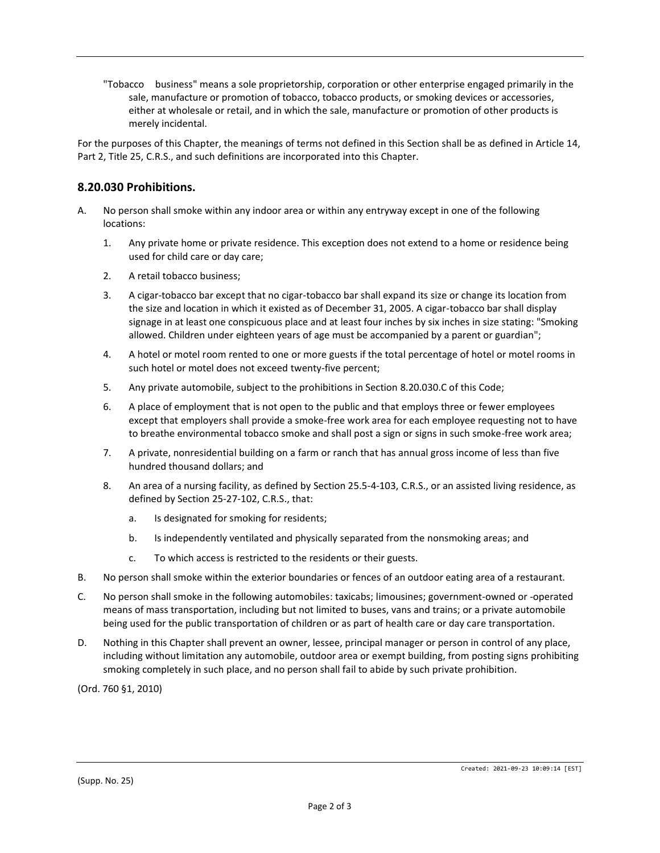"Tobacco business" means a sole proprietorship, corporation or other enterprise engaged primarily in the sale, manufacture or promotion of tobacco, tobacco products, or smoking devices or accessories, either at wholesale or retail, and in which the sale, manufacture or promotion of other products is merely incidental.

For the purposes of this Chapter, the meanings of terms not defined in this Section shall be as defined in Article 14, Part 2, Title 25, C.R.S., and such definitions are incorporated into this Chapter.

## **8.20.030 Prohibitions.**

- A. No person shall smoke within any indoor area or within any entryway except in one of the following locations:
	- 1. Any private home or private residence. This exception does not extend to a home or residence being used for child care or day care;
	- 2. A retail tobacco business;
	- 3. A cigar-tobacco bar except that no cigar-tobacco bar shall expand its size or change its location from the size and location in which it existed as of December 31, 2005. A cigar-tobacco bar shall display signage in at least one conspicuous place and at least four inches by six inches in size stating: "Smoking allowed. Children under eighteen years of age must be accompanied by a parent or guardian";
	- 4. A hotel or motel room rented to one or more guests if the total percentage of hotel or motel rooms in such hotel or motel does not exceed twenty-five percent;
	- 5. Any private automobile, subject to the prohibitions in Section 8.20.030.C of this Code;
	- 6. A place of employment that is not open to the public and that employs three or fewer employees except that employers shall provide a smoke-free work area for each employee requesting not to have to breathe environmental tobacco smoke and shall post a sign or signs in such smoke-free work area;
	- 7. A private, nonresidential building on a farm or ranch that has annual gross income of less than five hundred thousand dollars; and
	- 8. An area of a nursing facility, as defined by Section 25.5-4-103, C.R.S., or an assisted living residence, as defined by Section 25-27-102, C.R.S., that:
		- a. Is designated for smoking for residents;
		- b. Is independently ventilated and physically separated from the nonsmoking areas; and
		- c. To which access is restricted to the residents or their guests.
- B. No person shall smoke within the exterior boundaries or fences of an outdoor eating area of a restaurant.
- C. No person shall smoke in the following automobiles: taxicabs; limousines; government-owned or -operated means of mass transportation, including but not limited to buses, vans and trains; or a private automobile being used for the public transportation of children or as part of health care or day care transportation.
- D. Nothing in this Chapter shall prevent an owner, lessee, principal manager or person in control of any place, including without limitation any automobile, outdoor area or exempt building, from posting signs prohibiting smoking completely in such place, and no person shall fail to abide by such private prohibition.

(Ord. 760 §1, 2010)